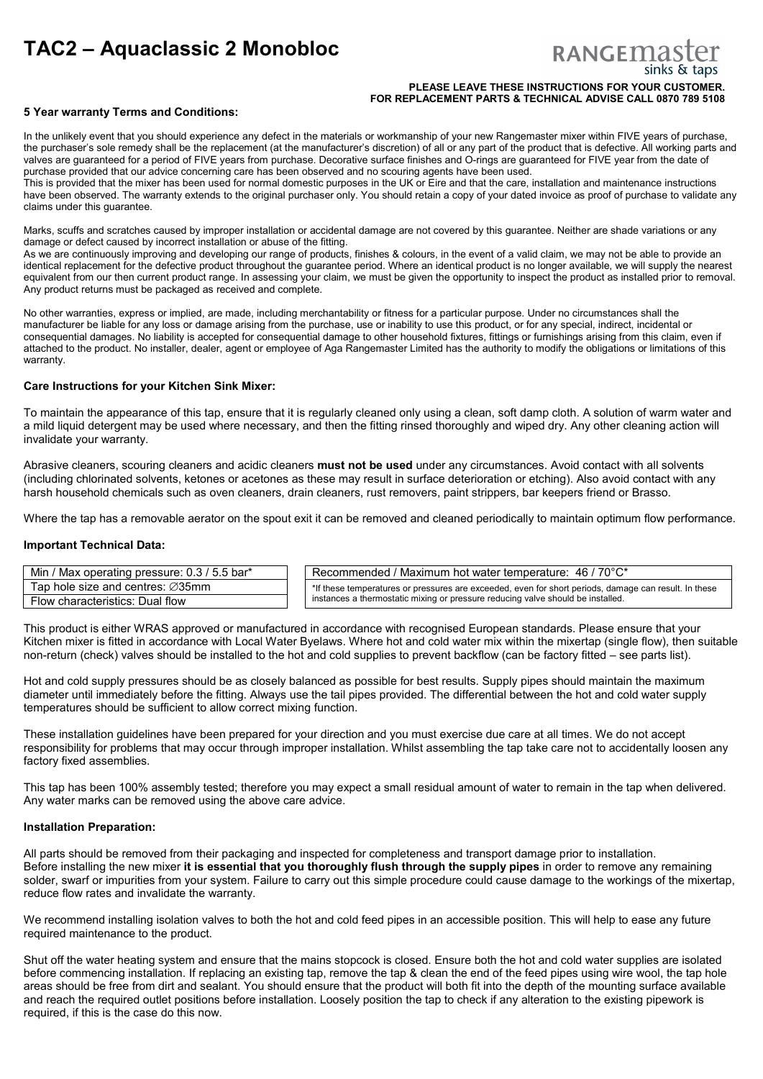# **TAC2 – Aquaclassic 2 Monobloc**

# RANGEMA

#### **PLEASE LEAVE THESE INSTRUCTIONS FOR YOUR CUSTOMER. FOR REPLACEMENT PARTS & TECHNICAL ADVISE CALL 0870 789 5108**

# **5 Year warranty Terms and Conditions:**

In the unlikely event that you should experience any defect in the materials or workmanship of your new Rangemaster mixer within FIVE years of purchase, the purchaser's sole remedy shall be the replacement (at the manufacturer's discretion) of all or any part of the product that is defective. All working parts and valves are guaranteed for a period of FIVE years from purchase. Decorative surface finishes and O-rings are guaranteed for FIVE year from the date of purchase provided that our advice concerning care has been observed and no scouring agents have been used.

This is provided that the mixer has been used for normal domestic purposes in the UK or Eire and that the care, installation and maintenance instructions have been observed. The warranty extends to the original purchaser only. You should retain a copy of your dated invoice as proof of purchase to validate any claims under this guarantee.

Marks, scuffs and scratches caused by improper installation or accidental damage are not covered by this guarantee. Neither are shade variations or any damage or defect caused by incorrect installation or abuse of the fitting.

As we are continuously improving and developing our range of products, finishes & colours, in the event of a valid claim, we may not be able to provide an identical replacement for the defective product throughout the guarantee period. Where an identical product is no longer available, we will supply the nearest equivalent from our then current product range. In assessing your claim, we must be given the opportunity to inspect the product as installed prior to removal. Any product returns must be packaged as received and complete.

No other warranties, express or implied, are made, including merchantability or fitness for a particular purpose. Under no circumstances shall the manufacturer be liable for any loss or damage arising from the purchase, use or inability to use this product, or for any special, indirect, incidental or consequential damages. No liability is accepted for consequential damage to other household fixtures, fittings or furnishings arising from this claim, even if attached to the product. No installer, dealer, agent or employee of Aga Rangemaster Limited has the authority to modify the obligations or limitations of this warranty.

# **Care Instructions for your Kitchen Sink Mixer:**

To maintain the appearance of this tap, ensure that it is regularly cleaned only using a clean, soft damp cloth. A solution of warm water and a mild liquid detergent may be used where necessary, and then the fitting rinsed thoroughly and wiped dry. Any other cleaning action will invalidate your warranty.

Abrasive cleaners, scouring cleaners and acidic cleaners **must not be used** under any circumstances. Avoid contact with all solvents (including chlorinated solvents, ketones or acetones as these may result in surface deterioration or etching). Also avoid contact with any harsh household chemicals such as oven cleaners, drain cleaners, rust removers, paint strippers, bar keepers friend or Brasso.

Where the tap has a removable aerator on the spout exit it can be removed and cleaned periodically to maintain optimum flow performance.

## **Important Technical Data:**

| Min / Max operating pressure: 0.3 / 5.5 bar*  | ' Recommended / Maximum hot water temperature: 46 / 70°C*                                             |
|-----------------------------------------------|-------------------------------------------------------------------------------------------------------|
| Tap hole size and centres: $\varnothing$ 35mm | *If these temperatures or pressures are exceeded, even for short periods, damage can result. In these |
| Flow characteristics: Dual flow               | instances a thermostatic mixing or pressure reducing valve should be installed.                       |

This product is either WRAS approved or manufactured in accordance with recognised European standards. Please ensure that your Kitchen mixer is fitted in accordance with Local Water Byelaws. Where hot and cold water mix within the mixertap (single flow), then suitable non-return (check) valves should be installed to the hot and cold supplies to prevent backflow (can be factory fitted – see parts list).

Hot and cold supply pressures should be as closely balanced as possible for best results. Supply pipes should maintain the maximum diameter until immediately before the fitting. Always use the tail pipes provided. The differential between the hot and cold water supply temperatures should be sufficient to allow correct mixing function.

These installation guidelines have been prepared for your direction and you must exercise due care at all times. We do not accept responsibility for problems that may occur through improper installation. Whilst assembling the tap take care not to accidentally loosen any factory fixed assemblies.

This tap has been 100% assembly tested; therefore you may expect a small residual amount of water to remain in the tap when delivered. Any water marks can be removed using the above care advice.

## **Installation Preparation:**

All parts should be removed from their packaging and inspected for completeness and transport damage prior to installation. Before installing the new mixer **it is essential that you thoroughly flush through the supply pipes** in order to remove any remaining solder, swarf or impurities from your system. Failure to carry out this simple procedure could cause damage to the workings of the mixertap, reduce flow rates and invalidate the warranty.

We recommend installing isolation valves to both the hot and cold feed pipes in an accessible position. This will help to ease any future required maintenance to the product.

Shut off the water heating system and ensure that the mains stopcock is closed. Ensure both the hot and cold water supplies are isolated before commencing installation. If replacing an existing tap, remove the tap & clean the end of the feed pipes using wire wool, the tap hole areas should be free from dirt and sealant. You should ensure that the product will both fit into the depth of the mounting surface available and reach the required outlet positions before installation. Loosely position the tap to check if any alteration to the existing pipework is required, if this is the case do this now.